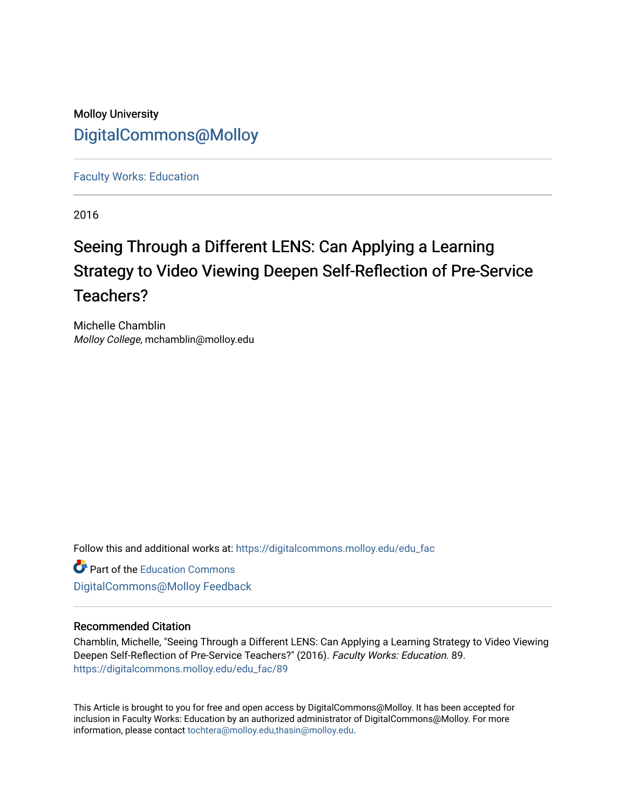# Molloy University [DigitalCommons@Molloy](https://digitalcommons.molloy.edu/)

[Faculty Works: Education](https://digitalcommons.molloy.edu/edu_fac) 

2016

# Seeing Through a Different LENS: Can Applying a Learning Strategy to Video Viewing Deepen Self-Reflection of Pre-Service Teachers?

Michelle Chamblin Molloy College, mchamblin@molloy.edu

Follow this and additional works at: [https://digitalcommons.molloy.edu/edu\\_fac](https://digitalcommons.molloy.edu/edu_fac?utm_source=digitalcommons.molloy.edu%2Fedu_fac%2F89&utm_medium=PDF&utm_campaign=PDFCoverPages)

**Part of the [Education Commons](https://network.bepress.com/hgg/discipline/784?utm_source=digitalcommons.molloy.edu%2Fedu_fac%2F89&utm_medium=PDF&utm_campaign=PDFCoverPages)** [DigitalCommons@Molloy Feedback](https://molloy.libwizard.com/f/dcfeedback)

# Recommended Citation

Chamblin, Michelle, "Seeing Through a Different LENS: Can Applying a Learning Strategy to Video Viewing Deepen Self-Reflection of Pre-Service Teachers?" (2016). Faculty Works: Education. 89. [https://digitalcommons.molloy.edu/edu\\_fac/89](https://digitalcommons.molloy.edu/edu_fac/89?utm_source=digitalcommons.molloy.edu%2Fedu_fac%2F89&utm_medium=PDF&utm_campaign=PDFCoverPages) 

This Article is brought to you for free and open access by DigitalCommons@Molloy. It has been accepted for inclusion in Faculty Works: Education by an authorized administrator of DigitalCommons@Molloy. For more information, please contact [tochtera@molloy.edu,thasin@molloy.edu.](mailto:tochtera@molloy.edu,thasin@molloy.edu)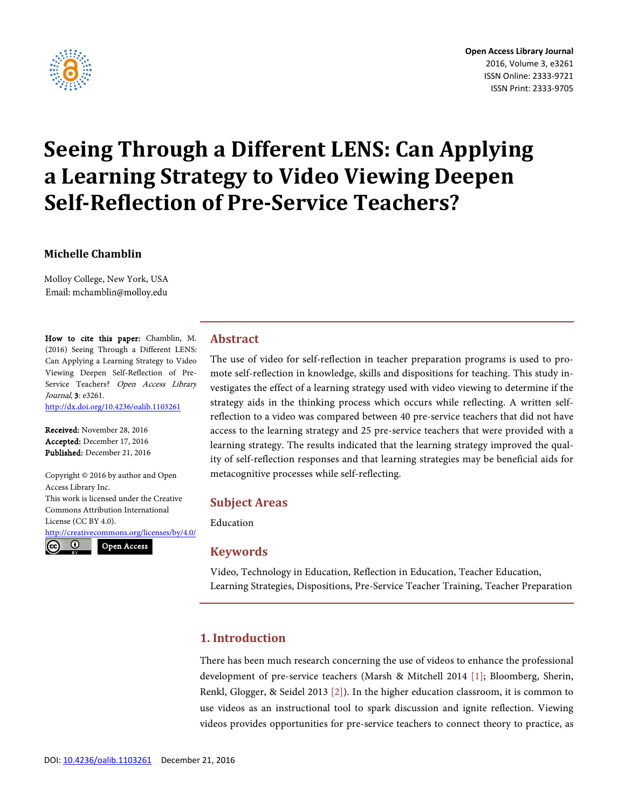

# **Seeing Through a Different LENS: Can Applying a Learning Strategy to Video Viewing Deepen Self-Reflection of Pre-Service Teachers?**

# **Michelle Chamblin**

Molloy College, New York, USA Email: mchamblin@molloy.edu

How to cite this paper: Chamblin, M. (2016) Seeing Through a Different LENS: Can Applying a Learning Strategy to Video Viewing Deepen Self-Reflection of Pre-Service Teachers? Open Access Library Journal, 3: e3261. <http://dx.doi.org/10.4236/oalib.1103261>

Received: November 28, 2016 Accepted: December 17, 2016 Published: December 21, 2016

Copyright © 2016 by author and Open Access Library Inc. This work is licensed under the Creative Commons Attribution International License (CC BY 4.0). <http://creativecommons.org/licenses/by/4.0/>  $_{\odot}$ Open Access(cc

#### **Abstract**

The use of video for self-reflection in teacher preparation programs is used to promote self-reflection in knowledge, skills and dispositions for teaching. This study investigates the effect of a learning strategy used with video viewing to determine if the strategy aids in the thinking process which occurs while reflecting. A written selfreflection to a video was compared between 40 pre-service teachers that did not have access to the learning strategy and 25 pre-service teachers that were provided with a learning strategy. The results indicated that the learning strategy improved the quality of self-reflection responses and that learning strategies may be beneficial aids for metacognitive processes while self-reflecting.

#### **Subject Areas**

Education

#### **Keywords**

Video, Technology in Education, Reflection in Education, Teacher Education, Learning Strategies, Dispositions, Pre-Service Teacher Training, Teacher Preparation

# **1. Introduction**

There has been much research concerning the use of videos to enhance the professional development of pre-service teachers (Marsh & Mitchell 2014 [\[1\];](#page-8-0) Bloomberg, Sherin, Renkl, Glogger, & Seidel 2013 [\[2\]\)](#page-9-0). In the higher education classroom, it is common to use videos as an instructional tool to spark discussion and ignite reflection. Viewing videos provides opportunities for pre-service teachers to connect theory to practice, as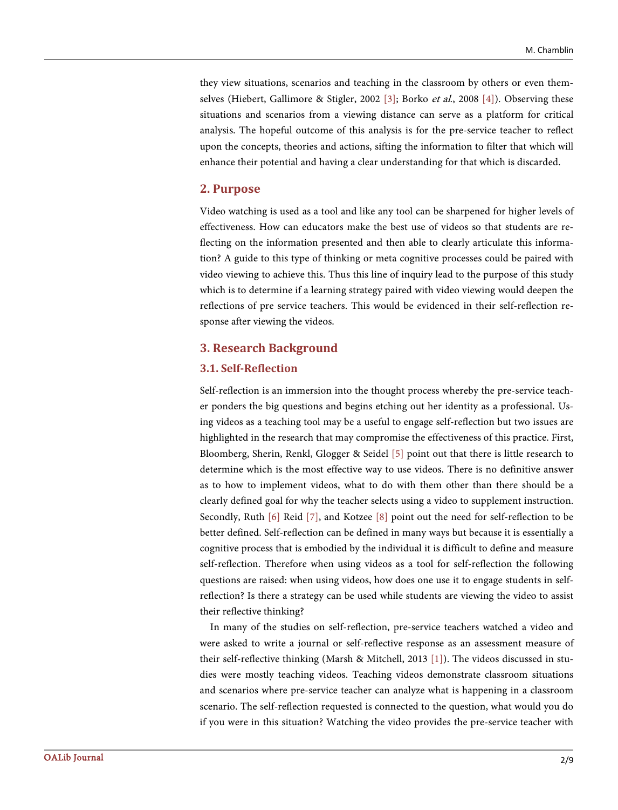they view situations, scenarios and teaching in the classroom by others or even them-selves (Hiebert, Gallimore & Stigler, 2002 [\[3\];](#page-9-1) Borko et al., 2008 [\[4\]\)](#page-9-2). Observing these situations and scenarios from a viewing distance can serve as a platform for critical analysis. The hopeful outcome of this analysis is for the pre-service teacher to reflect upon the concepts, theories and actions, sifting the information to filter that which will enhance their potential and having a clear understanding for that which is discarded.

#### **2. Purpose**

Video watching is used as a tool and like any tool can be sharpened for higher levels of effectiveness. How can educators make the best use of videos so that students are reflecting on the information presented and then able to clearly articulate this information? A guide to this type of thinking or meta cognitive processes could be paired with video viewing to achieve this. Thus this line of inquiry lead to the purpose of this study which is to determine if a learning strategy paired with video viewing would deepen the reflections of pre service teachers. This would be evidenced in their self-reflection response after viewing the videos.

#### **3. Research Background**

#### **3.1. Self-Reflection**

Self-reflection is an immersion into the thought process whereby the pre-service teacher ponders the big questions and begins etching out her identity as a professional. Using videos as a teaching tool may be a useful to engage self-reflection but two issues are highlighted in the research that may compromise the effectiveness of this practice. First, Bloomberg, Sherin, Renkl, Glogger & Seidel [\[5\]](#page-9-3) point out that there is little research to determine which is the most effective way to use videos. There is no definitive answer as to how to implement videos, what to do with them other than there should be a clearly defined goal for why the teacher selects using a video to supplement instruction. Secondly, Ruth [\[6\]](#page-9-4) Reid [\[7\],](#page-9-5) and Kotzee [\[8\]](#page-9-6) point out the need for self-reflection to be better defined. Self-reflection can be defined in many ways but because it is essentially a cognitive process that is embodied by the individual it is difficult to define and measure self-reflection. Therefore when using videos as a tool for self-reflection the following questions are raised: when using videos, how does one use it to engage students in selfreflection? Is there a strategy can be used while students are viewing the video to assist their reflective thinking?

In many of the studies on self-reflection, pre-service teachers watched a video and were asked to write a journal or self-reflective response as an assessment measure of their self-reflective thinking (Marsh & Mitchell, 2013 [\[1\]\)](#page-8-0). The videos discussed in studies were mostly teaching videos. Teaching videos demonstrate classroom situations and scenarios where pre-service teacher can analyze what is happening in a classroom scenario. The self-reflection requested is connected to the question, what would you do if you were in this situation? Watching the video provides the pre-service teacher with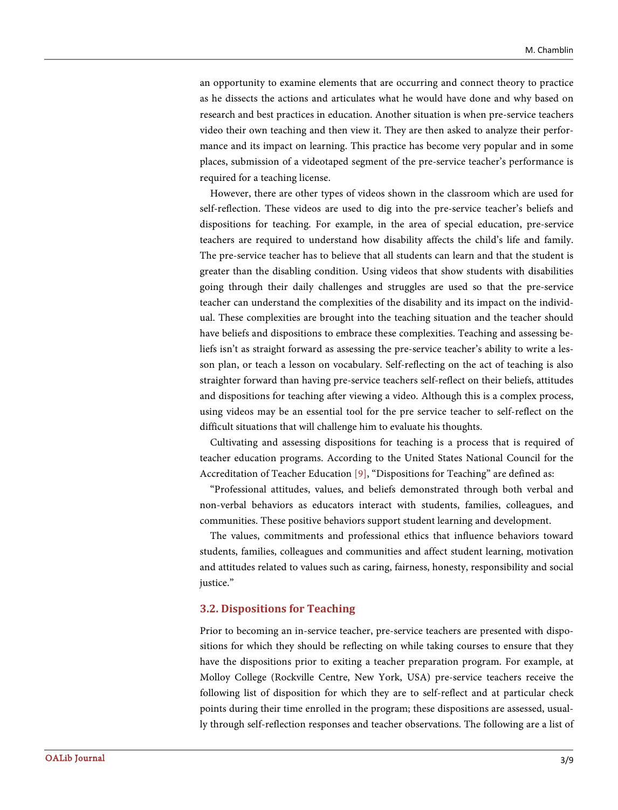an opportunity to examine elements that are occurring and connect theory to practice as he dissects the actions and articulates what he would have done and why based on research and best practices in education. Another situation is when pre-service teachers video their own teaching and then view it. They are then asked to analyze their performance and its impact on learning. This practice has become very popular and in some places, submission of a videotaped segment of the pre-service teacher's performance is required for a teaching license.

However, there are other types of videos shown in the classroom which are used for self-reflection. These videos are used to dig into the pre-service teacher's beliefs and dispositions for teaching. For example, in the area of special education, pre-service teachers are required to understand how disability affects the child's life and family. The pre-service teacher has to believe that all students can learn and that the student is greater than the disabling condition. Using videos that show students with disabilities going through their daily challenges and struggles are used so that the pre-service teacher can understand the complexities of the disability and its impact on the individual. These complexities are brought into the teaching situation and the teacher should have beliefs and dispositions to embrace these complexities. Teaching and assessing beliefs isn't as straight forward as assessing the pre-service teacher's ability to write a lesson plan, or teach a lesson on vocabulary. Self-reflecting on the act of teaching is also straighter forward than having pre-service teachers self-reflect on their beliefs, attitudes and dispositions for teaching after viewing a video. Although this is a complex process, using videos may be an essential tool for the pre service teacher to self-reflect on the difficult situations that will challenge him to evaluate his thoughts.

Cultivating and assessing dispositions for teaching is a process that is required of teacher education programs. According to the United States National Council for the Accreditation of Teacher Educatio[n \[9\],](#page-9-7) "Dispositions for Teaching" are defined as:

"Professional attitudes, values, and beliefs demonstrated through both verbal and non-verbal behaviors as educators interact with students, families, colleagues, and communities. These positive behaviors support student learning and development.

The values, commitments and professional ethics that influence behaviors toward students, families, colleagues and communities and affect student learning, motivation and attitudes related to values such as caring, fairness, honesty, responsibility and social justice."

#### **3.2. Dispositions for Teaching**

Prior to becoming an in-service teacher, pre-service teachers are presented with dispositions for which they should be reflecting on while taking courses to ensure that they have the dispositions prior to exiting a teacher preparation program. For example, at Molloy College (Rockville Centre, New York, USA) pre-service teachers receive the following list of disposition for which they are to self-reflect and at particular check points during their time enrolled in the program; these dispositions are assessed, usually through self-reflection responses and teacher observations. The following are a list of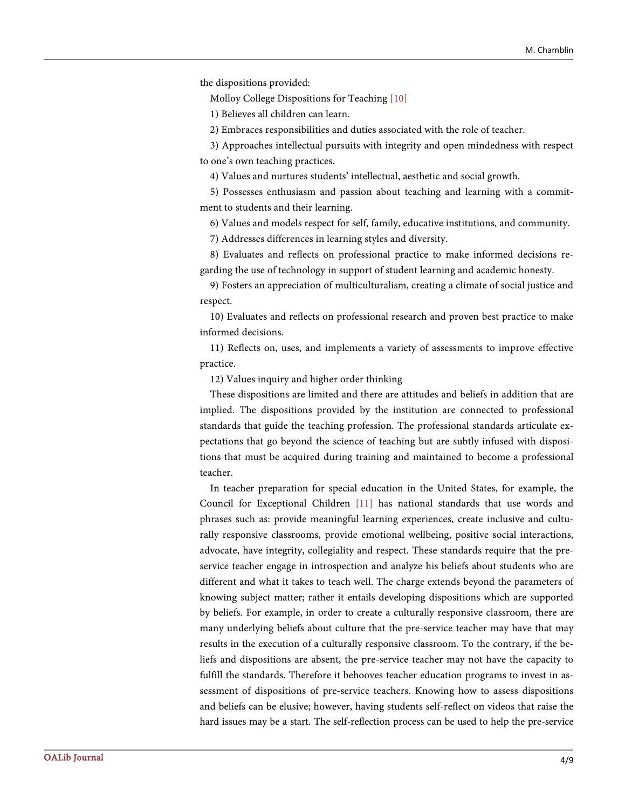the dispositions provided:

Molloy College Dispositions for Teaching [\[10\]](#page-9-8)

1) Believes all children can learn.

2) Embraces responsibilities and duties associated with the role of teacher.

3) Approaches intellectual pursuits with integrity and open mindedness with respect to one's own teaching practices.

4) Values and nurtures students' intellectual, aesthetic and social growth.

5) Possesses enthusiasm and passion about teaching and learning with a commitment to students and their learning.

6) Values and models respect for self, family, educative institutions, and community.

7) Addresses differences in learning styles and diversity.

8) Evaluates and reflects on professional practice to make informed decisions regarding the use of technology in support of student learning and academic honesty.

9) Fosters an appreciation of multiculturalism, creating a climate of social justice and respect.

10) Evaluates and reflects on professional research and proven best practice to make informed decisions.

11) Reflects on, uses, and implements a variety of assessments to improve effective practice.

12) Values inquiry and higher order thinking

These dispositions are limited and there are attitudes and beliefs in addition that are implied. The dispositions provided by the institution are connected to professional standards that guide the teaching profession. The professional standards articulate expectations that go beyond the science of teaching but are subtly infused with dispositions that must be acquired during training and maintained to become a professional teacher.

In teacher preparation for special education in the United States, for example, the Council for Exceptional Children [\[11\]](#page-9-9) has national standards that use words and phrases such as: provide meaningful learning experiences, create inclusive and culturally responsive classrooms, provide emotional wellbeing, positive social interactions, advocate, have integrity, collegiality and respect. These standards require that the preservice teacher engage in introspection and analyze his beliefs about students who are different and what it takes to teach well. The charge extends beyond the parameters of knowing subject matter; rather it entails developing dispositions which are supported by beliefs. For example, in order to create a culturally responsive classroom, there are many underlying beliefs about culture that the pre-service teacher may have that may results in the execution of a culturally responsive classroom. To the contrary, if the beliefs and dispositions are absent, the pre-service teacher may not have the capacity to fulfill the standards. Therefore it behooves teacher education programs to invest in assessment of dispositions of pre-service teachers. Knowing how to assess dispositions and beliefs can be elusive; however, having students self-reflect on videos that raise the hard issues may be a start. The self-reflection process can be used to help the pre-service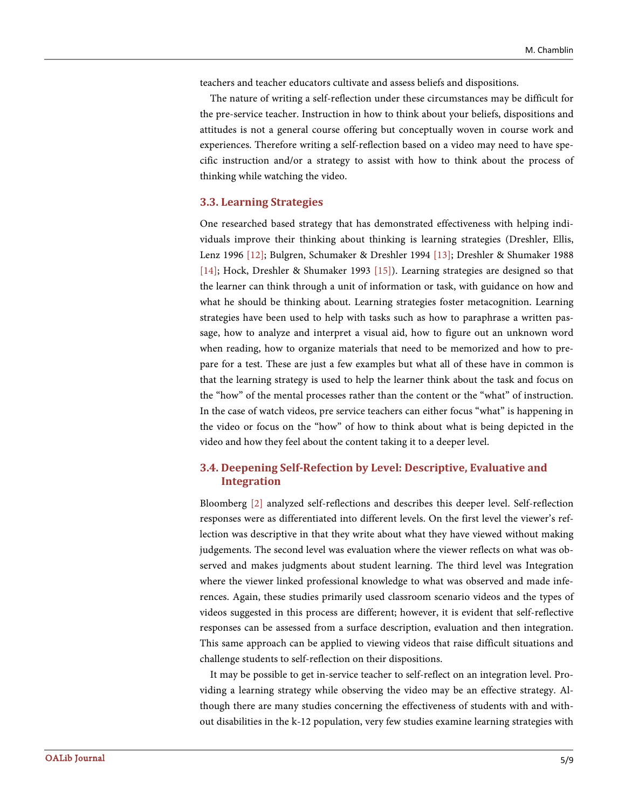teachers and teacher educators cultivate and assess beliefs and dispositions.

The nature of writing a self-reflection under these circumstances may be difficult for the pre-service teacher. Instruction in how to think about your beliefs, dispositions and attitudes is not a general course offering but conceptually woven in course work and experiences. Therefore writing a self-reflection based on a video may need to have specific instruction and/or a strategy to assist with how to think about the process of thinking while watching the video.

#### **3.3. Learning Strategies**

One researched based strategy that has demonstrated effectiveness with helping individuals improve their thinking about thinking is learning strategies (Dreshler, Ellis, Lenz 1996 [\[12\];](#page-9-10) Bulgren, Schumaker & Dreshler 1994 [\[13\];](#page-9-11) Dreshler & Shumaker 1988 [\[14\];](#page-9-12) Hock, Dreshler & Shumaker 1993 [\[15\]\)](#page-9-13). Learning strategies are designed so that the learner can think through a unit of information or task, with guidance on how and what he should be thinking about. Learning strategies foster metacognition. Learning strategies have been used to help with tasks such as how to paraphrase a written passage, how to analyze and interpret a visual aid, how to figure out an unknown word when reading, how to organize materials that need to be memorized and how to prepare for a test. These are just a few examples but what all of these have in common is that the learning strategy is used to help the learner think about the task and focus on the "how" of the mental processes rather than the content or the "what" of instruction. In the case of watch videos, pre service teachers can either focus "what" is happening in the video or focus on the "how" of how to think about what is being depicted in the video and how they feel about the content taking it to a deeper level.

# **3.4. Deepening Self-Refection by Level: Descriptive, Evaluative and Integration**

Bloomberg [\[2\]](#page-9-0) analyzed self-reflections and describes this deeper level. Self-reflection responses were as differentiated into different levels. On the first level the viewer's reflection was descriptive in that they write about what they have viewed without making judgements. The second level was evaluation where the viewer reflects on what was observed and makes judgments about student learning. The third level was Integration where the viewer linked professional knowledge to what was observed and made inferences. Again, these studies primarily used classroom scenario videos and the types of videos suggested in this process are different; however, it is evident that self-reflective responses can be assessed from a surface description, evaluation and then integration. This same approach can be applied to viewing videos that raise difficult situations and challenge students to self-reflection on their dispositions.

It may be possible to get in-service teacher to self-reflect on an integration level. Providing a learning strategy while observing the video may be an effective strategy. Although there are many studies concerning the effectiveness of students with and without disabilities in the k-12 population, very few studies examine learning strategies with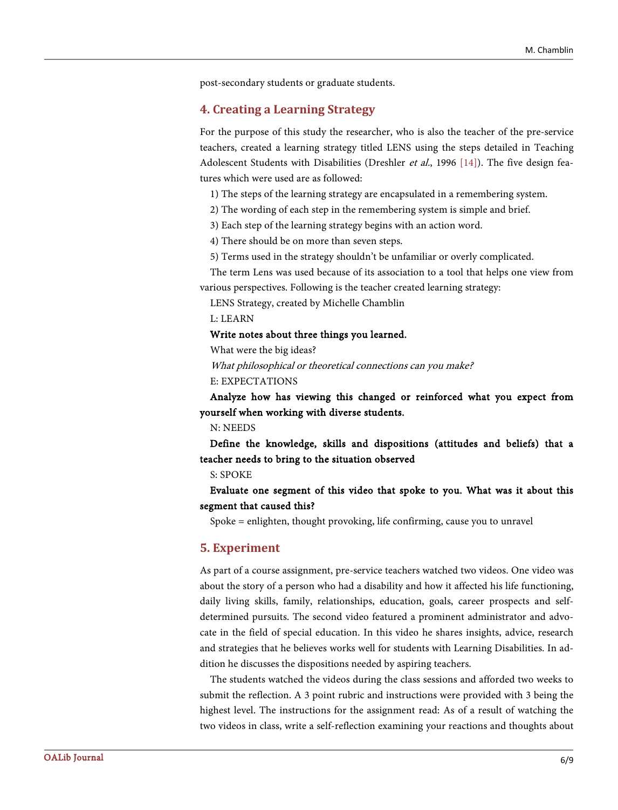post-secondary students or graduate students.

### **4. Creating a Learning Strategy**

For the purpose of this study the researcher, who is also the teacher of the pre-service teachers, created a learning strategy titled LENS using the steps detailed in Teaching Adolescent Students with Disabilities (Dreshler *et al.*, 1996 [\[14\]\)](#page-9-12). The five design features which were used are as followed:

1) The steps of the learning strategy are encapsulated in a remembering system.

2) The wording of each step in the remembering system is simple and brief.

3) Each step of the learning strategy begins with an action word.

4) There should be on more than seven steps.

5) Terms used in the strategy shouldn't be unfamiliar or overly complicated.

The term Lens was used because of its association to a tool that helps one view from various perspectives. Following is the teacher created learning strategy:

LENS Strategy, created by Michelle Chamblin

L: LEARN

#### Write notes about three things you learned.

What were the big ideas?

What philosophical or theoretical connections can you make? E: EXPECTATIONS

Analyze how has viewing this changed or reinforced what you expect from yourself when working with diverse students.

N: NEEDS

Define the knowledge, skills and dispositions (attitudes and beliefs) that a teacher needs to bring to the situation observed

S: SPOKE

# Evaluate one segment of this video that spoke to you. What was it about this segment that caused this?

Spoke = enlighten, thought provoking, life confirming, cause you to unravel

#### **5. Experiment**

As part of a course assignment, pre-service teachers watched two videos. One video was about the story of a person who had a disability and how it affected his life functioning, daily living skills, family, relationships, education, goals, career prospects and selfdetermined pursuits. The second video featured a prominent administrator and advocate in the field of special education. In this video he shares insights, advice, research and strategies that he believes works well for students with Learning Disabilities. In addition he discusses the dispositions needed by aspiring teachers.

The students watched the videos during the class sessions and afforded two weeks to submit the reflection. A 3 point rubric and instructions were provided with 3 being the highest level. The instructions for the assignment read: As of a result of watching the two videos in class, write a self-reflection examining your reactions and thoughts about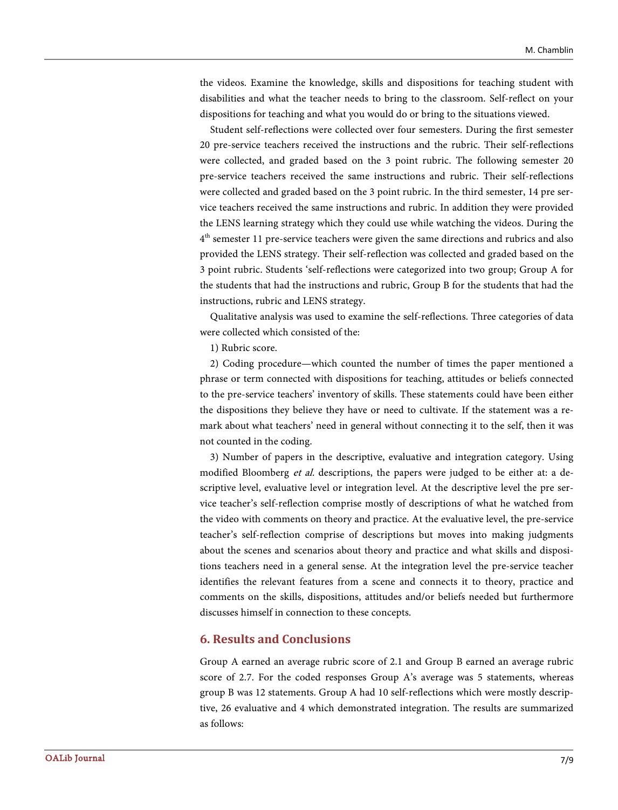the videos. Examine the knowledge, skills and dispositions for teaching student with disabilities and what the teacher needs to bring to the classroom. Self-reflect on your dispositions for teaching and what you would do or bring to the situations viewed.

Student self-reflections were collected over four semesters. During the first semester 20 pre-service teachers received the instructions and the rubric. Their self-reflections were collected, and graded based on the 3 point rubric. The following semester 20 pre-service teachers received the same instructions and rubric. Their self-reflections were collected and graded based on the 3 point rubric. In the third semester, 14 pre service teachers received the same instructions and rubric. In addition they were provided the LENS learning strategy which they could use while watching the videos. During the  $4<sup>th</sup>$  semester 11 pre-service teachers were given the same directions and rubrics and also provided the LENS strategy. Their self-reflection was collected and graded based on the 3 point rubric. Students 'self-reflections were categorized into two group; Group A for the students that had the instructions and rubric, Group B for the students that had the instructions, rubric and LENS strategy.

Qualitative analysis was used to examine the self-reflections. Three categories of data were collected which consisted of the:

1) Rubric score.

2) Coding procedure—which counted the number of times the paper mentioned a phrase or term connected with dispositions for teaching, attitudes or beliefs connected to the pre-service teachers' inventory of skills. These statements could have been either the dispositions they believe they have or need to cultivate. If the statement was a remark about what teachers' need in general without connecting it to the self, then it was not counted in the coding.

3) Number of papers in the descriptive, evaluative and integration category. Using modified Bloomberg et al. descriptions, the papers were judged to be either at: a descriptive level, evaluative level or integration level. At the descriptive level the pre service teacher's self-reflection comprise mostly of descriptions of what he watched from the video with comments on theory and practice. At the evaluative level, the pre-service teacher's self-reflection comprise of descriptions but moves into making judgments about the scenes and scenarios about theory and practice and what skills and dispositions teachers need in a general sense. At the integration level the pre-service teacher identifies the relevant features from a scene and connects it to theory, practice and comments on the skills, dispositions, attitudes and/or beliefs needed but furthermore discusses himself in connection to these concepts.

# **6. Results and Conclusions**

Group A earned an average rubric score of 2.1 and Group B earned an average rubric score of 2.7. For the coded responses Group A's average was 5 statements, whereas group B was 12 statements. Group A had 10 self-reflections which were mostly descriptive, 26 evaluative and 4 which demonstrated integration. The results are summarized as follows: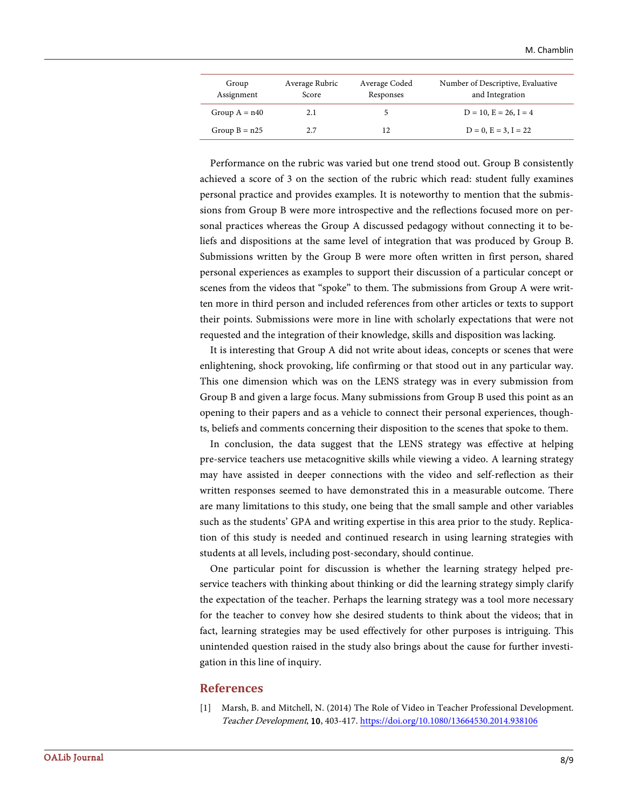| Group<br>Assignment | Average Rubric<br>Score | Average Coded<br>Responses | Number of Descriptive, Evaluative<br>and Integration |
|---------------------|-------------------------|----------------------------|------------------------------------------------------|
| Group $A = n40$     | 2.1                     |                            | $D = 10$ , $E = 26$ , $I = 4$                        |
| Group $B = n25$     | 2.7                     |                            | $D = 0$ , $E = 3$ , $I = 22$                         |

Performance on the rubric was varied but one trend stood out. Group B consistently achieved a score of 3 on the section of the rubric which read: student fully examines personal practice and provides examples. It is noteworthy to mention that the submissions from Group B were more introspective and the reflections focused more on personal practices whereas the Group A discussed pedagogy without connecting it to beliefs and dispositions at the same level of integration that was produced by Group B. Submissions written by the Group B were more often written in first person, shared personal experiences as examples to support their discussion of a particular concept or scenes from the videos that "spoke" to them. The submissions from Group A were written more in third person and included references from other articles or texts to support their points. Submissions were more in line with scholarly expectations that were not requested and the integration of their knowledge, skills and disposition was lacking.

It is interesting that Group A did not write about ideas, concepts or scenes that were enlightening, shock provoking, life confirming or that stood out in any particular way. This one dimension which was on the LENS strategy was in every submission from Group B and given a large focus. Many submissions from Group B used this point as an opening to their papers and as a vehicle to connect their personal experiences, thoughts, beliefs and comments concerning their disposition to the scenes that spoke to them.

In conclusion, the data suggest that the LENS strategy was effective at helping pre-service teachers use metacognitive skills while viewing a video. A learning strategy may have assisted in deeper connections with the video and self-reflection as their written responses seemed to have demonstrated this in a measurable outcome. There are many limitations to this study, one being that the small sample and other variables such as the students' GPA and writing expertise in this area prior to the study. Replication of this study is needed and continued research in using learning strategies with students at all levels, including post-secondary, should continue.

One particular point for discussion is whether the learning strategy helped preservice teachers with thinking about thinking or did the learning strategy simply clarify the expectation of the teacher. Perhaps the learning strategy was a tool more necessary for the teacher to convey how she desired students to think about the videos; that in fact, learning strategies may be used effectively for other purposes is intriguing. This unintended question raised in the study also brings about the cause for further investigation in this line of inquiry.

#### **References**

<span id="page-8-0"></span>[1] Marsh, B. and Mitchell, N. (2014) The Role of Video in Teacher Professional Development. Teacher Development, 10, 403-417.<https://doi.org/10.1080/13664530.2014.938106>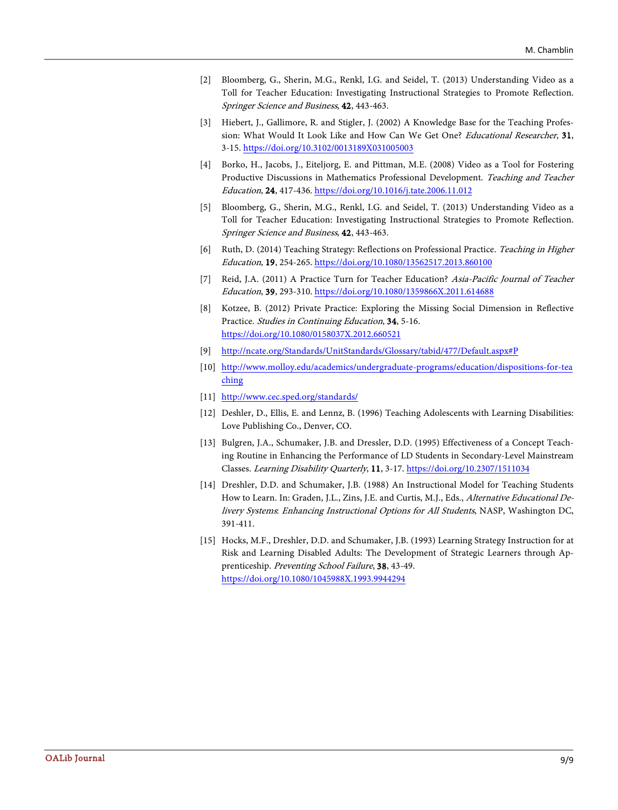- <span id="page-9-0"></span>[2] Bloomberg, G., Sherin, M.G., Renkl, I.G. and Seidel, T. (2013) Understanding Video as a Toll for Teacher Education: Investigating Instructional Strategies to Promote Reflection. Springer Science and Business, 42, 443-463.
- <span id="page-9-1"></span>[3] Hiebert, J., Gallimore, R. and Stigler, J. (2002) A Knowledge Base for the Teaching Profession: What Would It Look Like and How Can We Get One? Educational Researcher, 31, 3-15. <https://doi.org/10.3102/0013189X031005003>
- <span id="page-9-2"></span>[4] Borko, H., Jacobs, J., Eiteljorg, E. and Pittman, M.E. (2008) Video as a Tool for Fostering Productive Discussions in Mathematics Professional Development. Teaching and Teacher Education, 24, 417-436. <https://doi.org/10.1016/j.tate.2006.11.012>
- <span id="page-9-3"></span>[5] Bloomberg, G., Sherin, M.G., Renkl, I.G. and Seidel, T. (2013) Understanding Video as a Toll for Teacher Education: Investigating Instructional Strategies to Promote Reflection. Springer Science and Business, 42, 443-463.
- <span id="page-9-4"></span>[6] Ruth, D. (2014) Teaching Strategy: Reflections on Professional Practice. Teaching in Higher Education, 19, 254-265[. https://doi.org/10.1080/13562517.2013.860100](https://doi.org/10.1080/13562517.2013.860100)
- <span id="page-9-5"></span>[7] Reid, J.A. (2011) A Practice Turn for Teacher Education? Asia-Pacific Journal of Teacher Education, 39, 293-310. <https://doi.org/10.1080/1359866X.2011.614688>
- <span id="page-9-6"></span>[8] Kotzee, B. (2012) Private Practice: Exploring the Missing Social Dimension in Reflective Practice. Studies in Continuing Education, 34, 5-16. <https://doi.org/10.1080/0158037X.2012.660521>
- <span id="page-9-7"></span>[9] [http://ncate.org/Standards/UnitStandards/Glossary/tabid/477/Default.aspx#P](http://ncate.org/Standards/UnitStandards/Glossary/tabid/477/Default.aspx%23P)
- <span id="page-9-8"></span>[10] [http://www.molloy.edu/academics/undergraduate-programs/education/dispositions-for-tea](http://www.molloy.edu/academics/undergraduate-programs/education/dispositions-for-teaching) [ching](http://www.molloy.edu/academics/undergraduate-programs/education/dispositions-for-teaching)
- <span id="page-9-9"></span>[11] <http://www.cec.sped.org/standards/>
- <span id="page-9-10"></span>[12] Deshler, D., Ellis, E. and Lennz, B. (1996) Teaching Adolescents with Learning Disabilities: Love Publishing Co., Denver, CO.
- <span id="page-9-11"></span>[13] Bulgren, J.A., Schumaker, J.B. and Dressler, D.D. (1995) Effectiveness of a Concept Teaching Routine in Enhancing the Performance of LD Students in Secondary-Level Mainstream Classes. Learning Disability Quarterly, 11, 3-17. <https://doi.org/10.2307/1511034>
- <span id="page-9-12"></span>[14] Dreshler, D.D. and Schumaker, J.B. (1988) An Instructional Model for Teaching Students How to Learn. In: Graden, J.L., Zins, J.E. and Curtis, M.J., Eds., Alternative Educational Delivery Systems: Enhancing Instructional Options for All Students, NASP, Washington DC, 391-411.
- <span id="page-9-13"></span>[15] Hocks, M.F., Dreshler, D.D. and Schumaker, J.B. (1993) Learning Strategy Instruction for at Risk and Learning Disabled Adults: The Development of Strategic Learners through Apprenticeship. Preventing School Failure, 38, 43-49. <https://doi.org/10.1080/1045988X.1993.9944294>